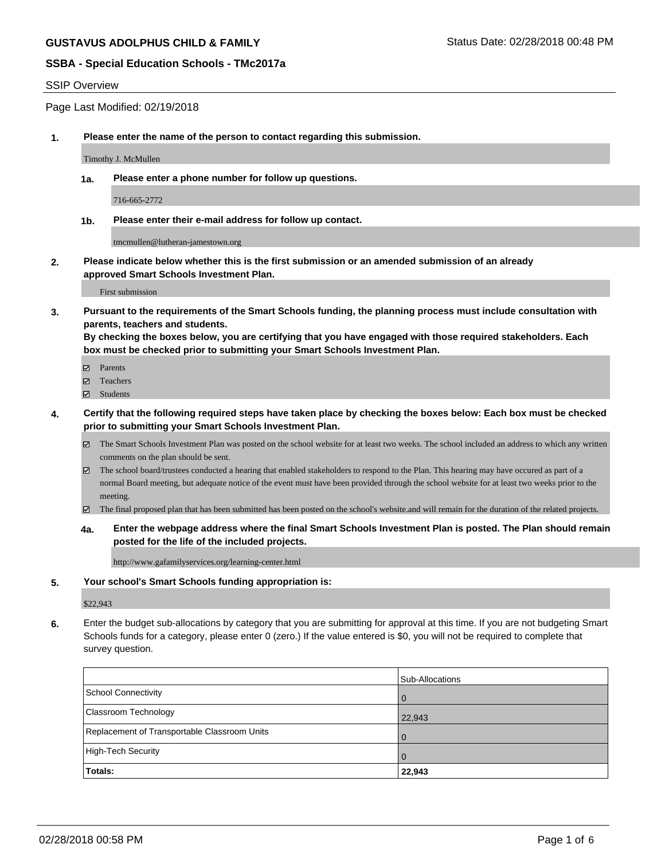#### SSIP Overview

Page Last Modified: 02/19/2018

**1. Please enter the name of the person to contact regarding this submission.**

Timothy J. McMullen

**1a. Please enter a phone number for follow up questions.**

716-665-2772

**1b. Please enter their e-mail address for follow up contact.**

tmcmullen@lutheran-jamestown.org

**2. Please indicate below whether this is the first submission or an amended submission of an already approved Smart Schools Investment Plan.**

First submission

**3. Pursuant to the requirements of the Smart Schools funding, the planning process must include consultation with parents, teachers and students.**

**By checking the boxes below, you are certifying that you have engaged with those required stakeholders. Each box must be checked prior to submitting your Smart Schools Investment Plan.**

- $\blacksquare$  Parents
- Teachers
- **☑** Students
- **4. Certify that the following required steps have taken place by checking the boxes below: Each box must be checked prior to submitting your Smart Schools Investment Plan.**
	- $\boxtimes$  The Smart Schools Investment Plan was posted on the school website for at least two weeks. The school included an address to which any written comments on the plan should be sent.
	- $\boxtimes$  The school board/trustees conducted a hearing that enabled stakeholders to respond to the Plan. This hearing may have occured as part of a normal Board meeting, but adequate notice of the event must have been provided through the school website for at least two weeks prior to the meeting.
	- The final proposed plan that has been submitted has been posted on the school's website.and will remain for the duration of the related projects.
	- **4a. Enter the webpage address where the final Smart Schools Investment Plan is posted. The Plan should remain posted for the life of the included projects.**

http://www.gafamilyservices.org/learning-center.html

#### **5. Your school's Smart Schools funding appropriation is:**

\$22,943

**6.** Enter the budget sub-allocations by category that you are submitting for approval at this time. If you are not budgeting Smart Schools funds for a category, please enter 0 (zero.) If the value entered is \$0, you will not be required to complete that survey question.

|                                              | Sub-Allocations |
|----------------------------------------------|-----------------|
| School Connectivity                          | <b>O</b>        |
| <b>Classroom Technology</b>                  | 22,943          |
| Replacement of Transportable Classroom Units | $\Omega$        |
| High-Tech Security                           | $\overline{0}$  |
| Totals:                                      | 22,943          |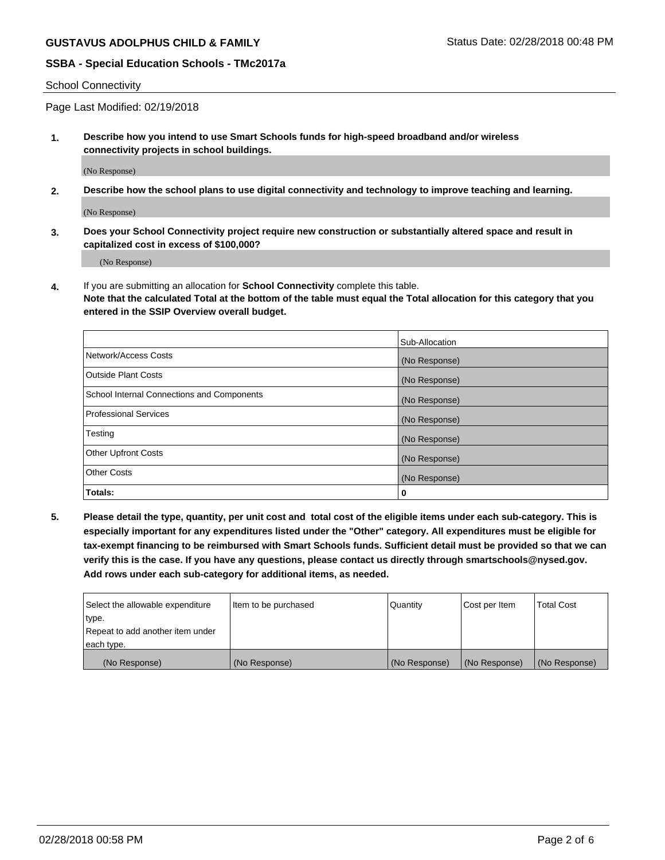#### School Connectivity

Page Last Modified: 02/19/2018

**1. Describe how you intend to use Smart Schools funds for high-speed broadband and/or wireless connectivity projects in school buildings.**

(No Response)

**2. Describe how the school plans to use digital connectivity and technology to improve teaching and learning.**

(No Response)

**3. Does your School Connectivity project require new construction or substantially altered space and result in capitalized cost in excess of \$100,000?**

(No Response)

**4.** If you are submitting an allocation for **School Connectivity** complete this table.

**Note that the calculated Total at the bottom of the table must equal the Total allocation for this category that you entered in the SSIP Overview overall budget.** 

|                                            | Sub-Allocation |
|--------------------------------------------|----------------|
| Network/Access Costs                       | (No Response)  |
| <b>Outside Plant Costs</b>                 | (No Response)  |
| School Internal Connections and Components | (No Response)  |
| <b>Professional Services</b>               | (No Response)  |
| Testing                                    | (No Response)  |
| <b>Other Upfront Costs</b>                 | (No Response)  |
| <b>Other Costs</b>                         | (No Response)  |
| Totals:                                    | 0              |

**5. Please detail the type, quantity, per unit cost and total cost of the eligible items under each sub-category. This is especially important for any expenditures listed under the "Other" category. All expenditures must be eligible for tax-exempt financing to be reimbursed with Smart Schools funds. Sufficient detail must be provided so that we can verify this is the case. If you have any questions, please contact us directly through smartschools@nysed.gov. Add rows under each sub-category for additional items, as needed.**

| Select the allowable expenditure | Item to be purchased | Quantity      | Cost per Item | <b>Total Cost</b> |
|----------------------------------|----------------------|---------------|---------------|-------------------|
| type.                            |                      |               |               |                   |
| Repeat to add another item under |                      |               |               |                   |
| each type.                       |                      |               |               |                   |
| (No Response)                    | (No Response)        | (No Response) | (No Response) | (No Response)     |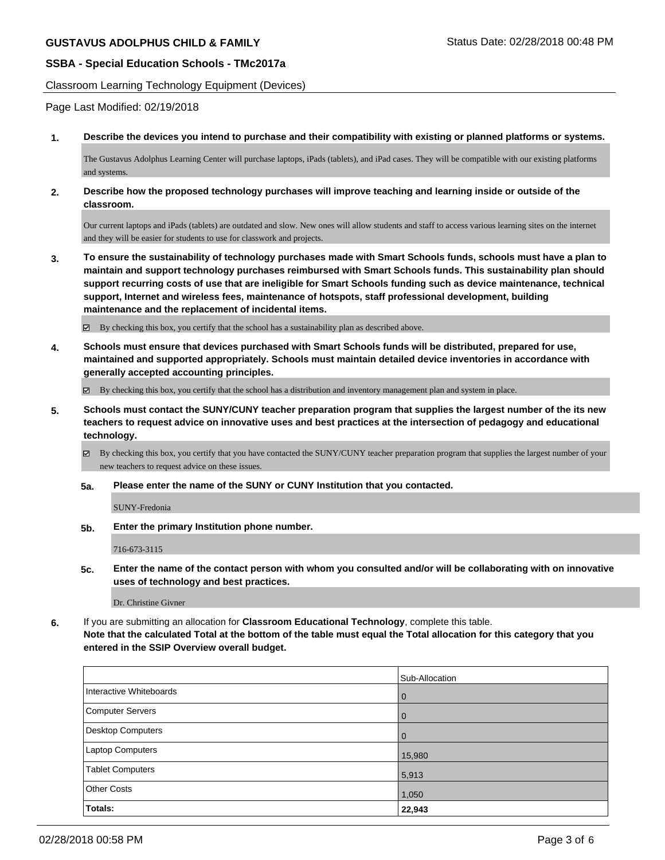Classroom Learning Technology Equipment (Devices)

Page Last Modified: 02/19/2018

**1. Describe the devices you intend to purchase and their compatibility with existing or planned platforms or systems.**

The Gustavus Adolphus Learning Center will purchase laptops, iPads (tablets), and iPad cases. They will be compatible with our existing platforms and systems.

**2. Describe how the proposed technology purchases will improve teaching and learning inside or outside of the classroom.**

Our current laptops and iPads (tablets) are outdated and slow. New ones will allow students and staff to access various learning sites on the internet and they will be easier for students to use for classwork and projects.

**3. To ensure the sustainability of technology purchases made with Smart Schools funds, schools must have a plan to maintain and support technology purchases reimbursed with Smart Schools funds. This sustainability plan should support recurring costs of use that are ineligible for Smart Schools funding such as device maintenance, technical support, Internet and wireless fees, maintenance of hotspots, staff professional development, building maintenance and the replacement of incidental items.**

 $\boxtimes$  By checking this box, you certify that the school has a sustainability plan as described above.

**4. Schools must ensure that devices purchased with Smart Schools funds will be distributed, prepared for use, maintained and supported appropriately. Schools must maintain detailed device inventories in accordance with generally accepted accounting principles.**

 $\boxtimes$  By checking this box, you certify that the school has a distribution and inventory management plan and system in place.

**5. Schools must contact the SUNY/CUNY teacher preparation program that supplies the largest number of the its new teachers to request advice on innovative uses and best practices at the intersection of pedagogy and educational technology.**

 $\boxtimes$  By checking this box, you certify that you have contacted the SUNY/CUNY teacher preparation program that supplies the largest number of your new teachers to request advice on these issues.

**5a. Please enter the name of the SUNY or CUNY Institution that you contacted.**

SUNY-Fredonia

**5b. Enter the primary Institution phone number.**

716-673-3115

**5c. Enter the name of the contact person with whom you consulted and/or will be collaborating with on innovative uses of technology and best practices.**

Dr. Christine Givner

**6.** If you are submitting an allocation for **Classroom Educational Technology**, complete this table.

**Note that the calculated Total at the bottom of the table must equal the Total allocation for this category that you entered in the SSIP Overview overall budget.**

|                         | Sub-Allocation |
|-------------------------|----------------|
| Interactive Whiteboards | <b>0</b>       |
| Computer Servers        | <b>0</b>       |
| Desktop Computers       | l 0            |
| <b>Laptop Computers</b> | 15,980         |
| <b>Tablet Computers</b> | 5,913          |
| <b>Other Costs</b>      | 1,050          |
| Totals:                 | 22,943         |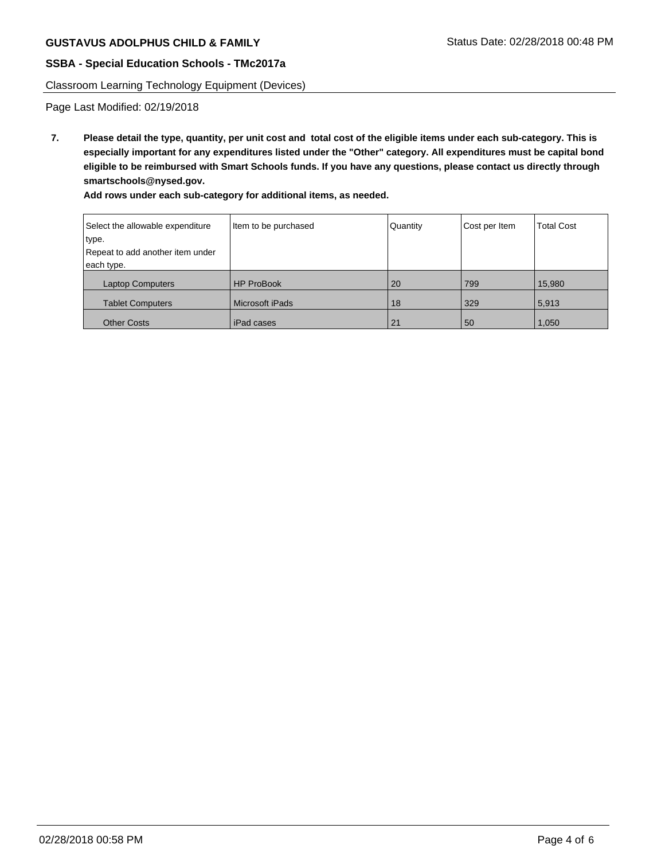Classroom Learning Technology Equipment (Devices)

Page Last Modified: 02/19/2018

**7. Please detail the type, quantity, per unit cost and total cost of the eligible items under each sub-category. This is especially important for any expenditures listed under the "Other" category. All expenditures must be capital bond eligible to be reimbursed with Smart Schools funds. If you have any questions, please contact us directly through smartschools@nysed.gov.**

**Add rows under each sub-category for additional items, as needed.**

| Select the allowable expenditure | Item to be purchased | Quantity | Cost per Item | <b>Total Cost</b> |
|----------------------------------|----------------------|----------|---------------|-------------------|
| type.                            |                      |          |               |                   |
| Repeat to add another item under |                      |          |               |                   |
| each type.                       |                      |          |               |                   |
| <b>Laptop Computers</b>          | <b>HP ProBook</b>    | 20       | 799           | 15,980            |
| <b>Tablet Computers</b>          | l Microsoft iPads    | 18       | 329           | 5,913             |
| <b>Other Costs</b>               | l iPad cases         | 21       | 50            | 1,050             |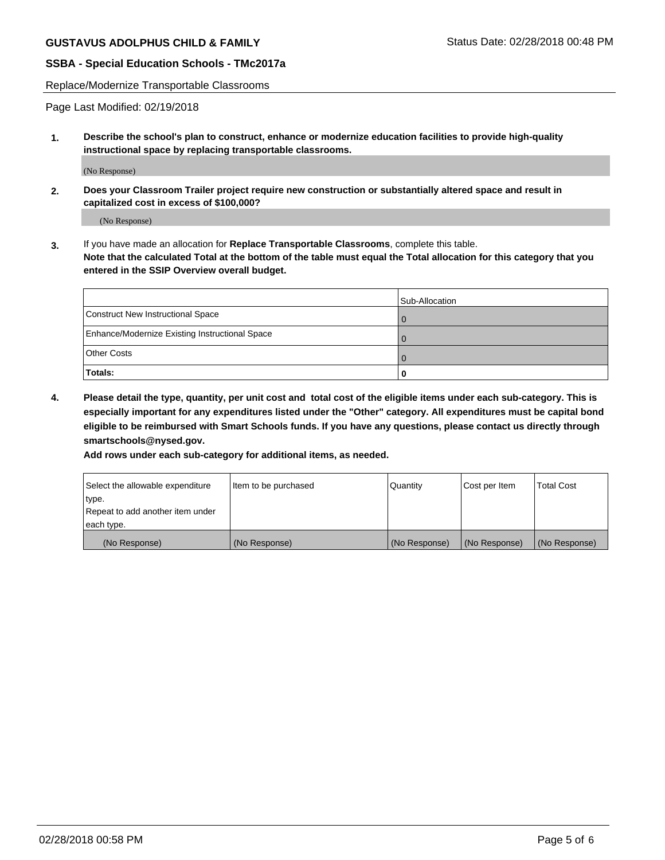Replace/Modernize Transportable Classrooms

Page Last Modified: 02/19/2018

**1. Describe the school's plan to construct, enhance or modernize education facilities to provide high-quality instructional space by replacing transportable classrooms.**

(No Response)

**2. Does your Classroom Trailer project require new construction or substantially altered space and result in capitalized cost in excess of \$100,000?**

(No Response)

**3.** If you have made an allocation for **Replace Transportable Classrooms**, complete this table. **Note that the calculated Total at the bottom of the table must equal the Total allocation for this category that you entered in the SSIP Overview overall budget.**

|                                                | Sub-Allocation |
|------------------------------------------------|----------------|
| Construct New Instructional Space              |                |
| Enhance/Modernize Existing Instructional Space |                |
| <b>Other Costs</b>                             |                |
| Totals:                                        |                |

**4. Please detail the type, quantity, per unit cost and total cost of the eligible items under each sub-category. This is especially important for any expenditures listed under the "Other" category. All expenditures must be capital bond eligible to be reimbursed with Smart Schools funds. If you have any questions, please contact us directly through smartschools@nysed.gov.**

**Add rows under each sub-category for additional items, as needed.**

| Select the allowable expenditure | Item to be purchased | Quantity      | Cost per Item | <b>Total Cost</b> |
|----------------------------------|----------------------|---------------|---------------|-------------------|
| type.                            |                      |               |               |                   |
| Repeat to add another item under |                      |               |               |                   |
| each type.                       |                      |               |               |                   |
| (No Response)                    | (No Response)        | (No Response) | (No Response) | (No Response)     |